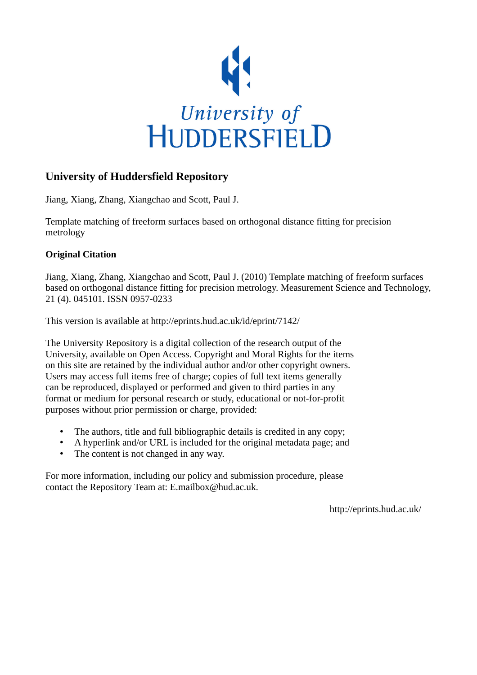

# **University of Huddersfield Repository**

Jiang, Xiang, Zhang, Xiangchao and Scott, Paul J.

Template matching of freeform surfaces based on orthogonal distance fitting for precision metrology

# **Original Citation**

Jiang, Xiang, Zhang, Xiangchao and Scott, Paul J. (2010) Template matching of freeform surfaces based on orthogonal distance fitting for precision metrology. Measurement Science and Technology, 21 (4). 045101. ISSN 0957-0233

This version is available at http://eprints.hud.ac.uk/id/eprint/7142/

The University Repository is a digital collection of the research output of the University, available on Open Access. Copyright and Moral Rights for the items on this site are retained by the individual author and/or other copyright owners. Users may access full items free of charge; copies of full text items generally can be reproduced, displayed or performed and given to third parties in any format or medium for personal research or study, educational or not-for-profit purposes without prior permission or charge, provided:

- The authors, title and full bibliographic details is credited in any copy;
- A hyperlink and/or URL is included for the original metadata page; and
- The content is not changed in any way.

For more information, including our policy and submission procedure, please contact the Repository Team at: E.mailbox@hud.ac.uk.

http://eprints.hud.ac.uk/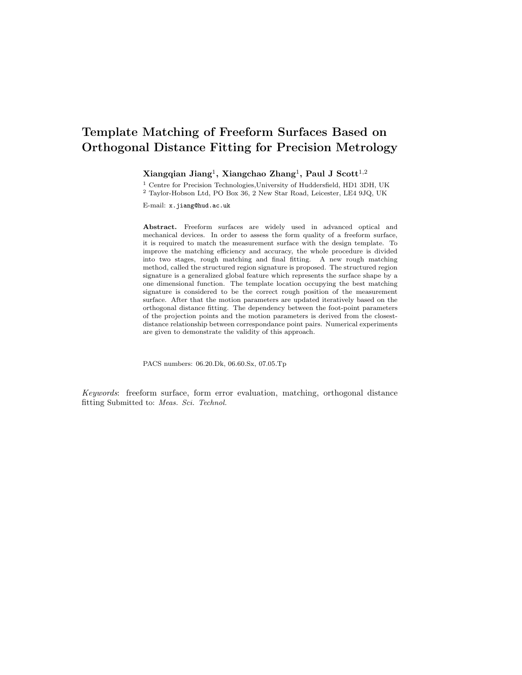# **Template Matching of Freeform Surfaces Based on Orthogonal Distance Fitting for Precision Metrology**

**Xiangqian Jiang**<sup>1</sup> **, Xiangchao Zhang**<sup>1</sup> **, Paul J Scott**<sup>1</sup>*,*<sup>2</sup>

<sup>1</sup> Centre for Precision Technologies, University of Huddersfield, HD1 3DH, UK

<sup>2</sup> Taylor-Hobson Ltd, PO Box 36, 2 New Star Road, Leicester, LE4 9JQ, UK

E-mail: x.jiang@hud.ac.uk

**Abstract.** Freeform surfaces are widely used in advanced optical and mechanical devices. In order to assess the form quality of a freeform surface, it is required to match the measurement surface with the design template. To improve the matching efficiency and accuracy, the whole procedure is divided into two stages, rough matching and final fitting. A new rough matching method, called the structured region signature is proposed. The structured region signature is a generalized global feature which represents the surface shape by a one dimensional function. The template location occupying the best matching signature is considered to be the correct rough position of the measurement surface. After that the motion parameters are updated iteratively based on the orthogonal distance fitting. The dependency between the foot-point parameters of the projection points and the motion parameters is derived from the closestdistance relationship between correspondance point pairs. Numerical experiments are given to demonstrate the validity of this approach.

PACS numbers: 06.20.Dk, 06.60.Sx, 07.05.Tp

*Keywords*: freeform surface, form error evaluation, matching, orthogonal distance fitting Submitted to: *Meas. Sci. Technol.*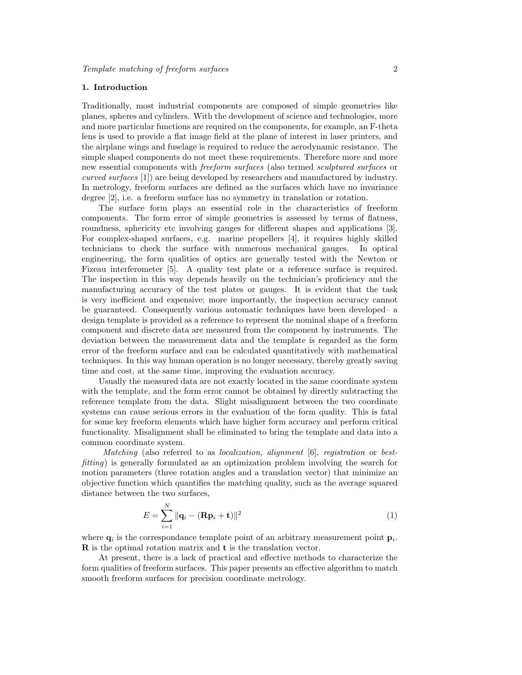### **1. Introduction**

Traditionally, most industrial components are composed of simple geometries like planes, spheres and cylinders. With the development of science and technologies, more and more particular functions are required on the components, for example, an F-theta lens is used to provide a flat image field at the plane of interest in laser printers, and the airplane wings and fuselage is required to reduce the aerodynamic resistance. The simple shaped components do not meet these requirements. Therefore more and more new essential components with *freeform surfaces* (also termed *sculptured surfaces* or *curved surfaces* [1]) are being developed by researchers and manufactured by industry. In metrology, freeform surfaces are defined as the surfaces which have no invariance degree [2], i.e. a freeform surface has no symmetry in translation or rotation.

The surface form plays an essential role in the characteristics of freeform components. The form error of simple geometries is assessed by terms of flatness, roundness, sphericity etc involving gauges for different shapes and applications [3]. For complex-shaped surfaces, e.g. marine propellers [4], it requires highly skilled technicians to check the surface with numerous mechanical gauges. In optical engineering, the form qualities of optics are generally tested with the Newton or Fizeau interferometer [5]. A quality test plate or a reference surface is required. The inspection in this way depends heavily on the technician's proficiency and the manufacturing accuracy of the test plates or gauges. It is evident that the task is very inefficient and expensive; more importantly, the inspection accuracy cannot be guaranteed. Consequently various automatic techniques have been developed– a design template is provided as a reference to represent the nominal shape of a freeform component and discrete data are measured from the component by instruments. The deviation between the measurement data and the template is regarded as the form error of the freeform surface and can be calculated quantitatively with mathematical techniques. In this way human operation is no longer necessary, thereby greatly saving time and cost, at the same time, improving the evaluation accuracy.

Usually the measured data are not exactly located in the same coordinate system with the template, and the form error cannot be obtained by directly subtracting the reference template from the data. Slight misalignment between the two coordinate systems can cause serious errors in the evaluation of the form quality. This is fatal for some key freeform elements which have higher form accuracy and perform critical functionality. Misalignment shall be eliminated to bring the template and data into a common coordinate system.

*Matching* (also referred to as *localization*, *alignment* [6], *registration* or *bestfitting*) is generally formulated as an optimization problem involving the search for motion parameters (three rotation angles and a translation vector) that minimize an objective function which quantifies the matching quality, such as the average squared distance between the two surfaces,

$$
E = \sum_{i=1}^{N} ||\mathbf{q}_i - (\mathbf{R}\mathbf{p}_i + \mathbf{t})||^2
$$
 (1)

where  $\mathbf{q}_i$  is the correspondance template point of an arbitrary measurement point  $\mathbf{p}_i$ . **R** is the optimal rotation matrix and **t** is the translation vector.

At present, there is a lack of practical and effective methods to characterize the form qualities of freeform surfaces. This paper presents an effective algorithm to match smooth freeform surfaces for precision coordinate metrology.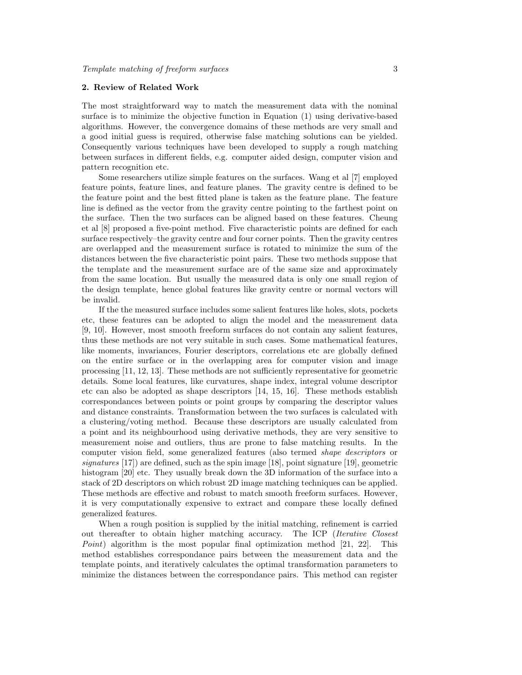#### **2. Review of Related Work**

The most straightforward way to match the measurement data with the nominal surface is to minimize the objective function in Equation (1) using derivative-based algorithms. However, the convergence domains of these methods are very small and a good initial guess is required, otherwise false matching solutions can be yielded. Consequently various techniques have been developed to supply a rough matching between surfaces in different fields, e.g. computer aided design, computer vision and pattern recognition etc.

Some researchers utilize simple features on the surfaces. Wang et al [7] employed feature points, feature lines, and feature planes. The gravity centre is defined to be the feature point and the best fitted plane is taken as the feature plane. The feature line is defined as the vector from the gravity centre pointing to the farthest point on the surface. Then the two surfaces can be aligned based on these features. Cheung et al [8] proposed a five-point method. Five characteristic points are defined for each surface respectively–the gravity centre and four corner points. Then the gravity centres are overlapped and the measurement surface is rotated to minimize the sum of the distances between the five characteristic point pairs. These two methods suppose that the template and the measurement surface are of the same size and approximately from the same location. But usually the measured data is only one small region of the design template, hence global features like gravity centre or normal vectors will be invalid.

If the the measured surface includes some salient features like holes, slots, pockets etc, these features can be adopted to align the model and the measurement data [9, 10]. However, most smooth freeform surfaces do not contain any salient features, thus these methods are not very suitable in such cases. Some mathematical features, like moments, invariances, Fourier descriptors, correlations etc are globally defined on the entire surface or in the overlapping area for computer vision and image processing [11, 12, 13]. These methods are not sufficiently representative for geometric details. Some local features, like curvatures, shape index, integral volume descriptor etc can also be adopted as shape descriptors [14, 15, 16]. These methods establish correspondances between points or point groups by comparing the descriptor values and distance constraints. Transformation between the two surfaces is calculated with a clustering/voting method. Because these descriptors are usually calculated from a point and its neighbourhood using derivative methods, they are very sensitive to measurement noise and outliers, thus are prone to false matching results. In the computer vision field, some generalized features (also termed *shape descriptors* or *signatures* [17]) are defined, such as the spin image [18], point signature [19], geometric histogram [20] etc. They usually break down the 3D information of the surface into a stack of 2D descriptors on which robust 2D image matching techniques can be applied. These methods are effective and robust to match smooth freeform surfaces. However, it is very computationally expensive to extract and compare these locally defined generalized features.

When a rough position is supplied by the initial matching, refinement is carried out thereafter to obtain higher matching accuracy. The ICP (*Iterative Closest Point*) algorithm is the most popular final optimization method [21, 22]. This method establishes correspondance pairs between the measurement data and the template points, and iteratively calculates the optimal transformation parameters to minimize the distances between the correspondance pairs. This method can register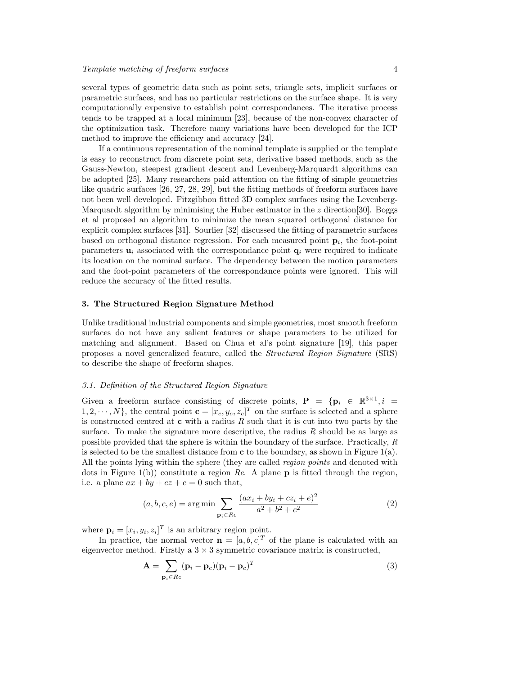several types of geometric data such as point sets, triangle sets, implicit surfaces or parametric surfaces, and has no particular restrictions on the surface shape. It is very computationally expensive to establish point correspondances. The iterative process tends to be trapped at a local minimum [23], because of the non-convex character of the optimization task. Therefore many variations have been developed for the ICP method to improve the efficiency and accuracy [24].

If a continuous representation of the nominal template is supplied or the template is easy to reconstruct from discrete point sets, derivative based methods, such as the Gauss-Newton, steepest gradient descent and Levenberg-Marquardt algorithms can be adopted [25]. Many researchers paid attention on the fitting of simple geometries like quadric surfaces [26, 27, 28, 29], but the fitting methods of freeform surfaces have not been well developed. Fitzgibbon fitted 3D complex surfaces using the Levenberg-Marquardt algorithm by minimising the Huber estimator in the *z* direction[30]. Boggs et al proposed an algorithm to minimize the mean squared orthogonal distance for explicit complex surfaces [31]. Sourlier [32] discussed the fitting of parametric surfaces based on orthogonal distance regression. For each measured point **p***<sup>i</sup>* , the foot-point parameters  $\mathbf{u}_i$  associated with the correspondance point  $\mathbf{q}_i$  were required to indicate its location on the nominal surface. The dependency between the motion parameters and the foot-point parameters of the correspondance points were ignored. This will reduce the accuracy of the fitted results.

# **3. The Structured Region Signature Method**

Unlike traditional industrial components and simple geometries, most smooth freeform surfaces do not have any salient features or shape parameters to be utilized for matching and alignment. Based on Chua et al's point signature [19], this paper proposes a novel generalized feature, called the *Structured Region Signature* (SRS) to describe the shape of freeform shapes.

# *3.1. Definition of the Structured Region Signature*

Given a freeform surface consisting of discrete points,  $P = \{p_i \in \mathbb{R}^{3 \times 1}, i =$  $\{1, 2, \dots, N\}$ , the central point  $\mathbf{c} = [x_c, y_c, z_c]^T$  on the surface is selected and a sphere is constructed centred at **c** with a radius *R* such that it is cut into two parts by the surface. To make the signature more descriptive, the radius *R* should be as large as possible provided that the sphere is within the boundary of the surface. Practically, *R* is selected to be the smallest distance from  $\bf{c}$  to the boundary, as shown in Figure 1(a). All the points lying within the sphere (they are called *region points* and denoted with dots in Figure 1(b)) constitute a region *Re*. A plane **p** is fitted through the region, i.e. a plane  $ax + by + cz + e = 0$  such that,

$$
(a, b, c, e) = \arg\min_{\mathbf{p}_i \in Re} \frac{(ax_i + by_i + cz_i + e)^2}{a^2 + b^2 + c^2}
$$
 (2)

where  $\mathbf{p}_i = [x_i, y_i, z_i]^T$  is an arbitrary region point.

In practice, the normal vector  $\mathbf{n} = [a, b, c]^T$  of the plane is calculated with an eigenvector method. Firstly a  $3 \times 3$  symmetric covariance matrix is constructed,

$$
\mathbf{A} = \sum_{\mathbf{p}_i \in Re} (\mathbf{p}_i - \mathbf{p}_c)(\mathbf{p}_i - \mathbf{p}_c)^T
$$
\n(3)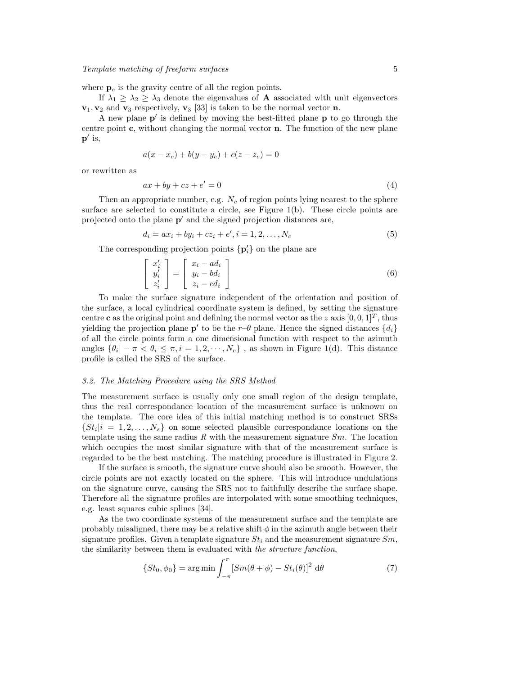where  $p_c$  is the gravity centre of all the region points.

If  $\lambda_1 \geq \lambda_2 \geq \lambda_3$  denote the eigenvalues of **A** associated with unit eigenvectors  $\mathbf{v}_1, \mathbf{v}_2$  and  $\mathbf{v}_3$  respectively,  $\mathbf{v}_3$  [33] is taken to be the normal vector **n**.

A new plane **p** *′* is defined by moving the best-fitted plane **p** to go through the centre point **c**, without changing the normal vector **n**. The function of the new plane **p** *′* is,

$$
a(x - x_c) + b(y - y_c) + c(z - z_c) = 0
$$

or rewritten as

$$
ax + by + cz + e' = 0 \tag{4}
$$

Then an appropriate number, e.g. *N<sup>c</sup>* of region points lying nearest to the sphere surface are selected to constitute a circle, see Figure  $1(b)$ . These circle points are projected onto the plane **p** *′* and the signed projection distances are,

 $d_i = ax_i + by_i + cz_i + e', i = 1, 2, \dots, N_c$  (5)

The corresponding projection points  $\{p'_{i}\}\$  on the plane are

$$
\begin{bmatrix} x'_i \\ y'_i \\ z'_i \end{bmatrix} = \begin{bmatrix} x_i - ad_i \\ y_i - bd_i \\ z_i - cd_i \end{bmatrix}
$$
 (6)

To make the surface signature independent of the orientation and position of the surface, a local cylindrical coordinate system is defined, by setting the signature centre **c** as the original point and defining the normal vector as the *z* axis  $[0, 0, 1]^T$ , thus yielding the projection plane **p**<sup>*'*</sup> to be the *r−θ* plane. Hence the signed distances  $\{d_i\}$ of all the circle points form a one dimensional function with respect to the azimuth angles  $\{\theta_i | -\pi < \theta_i \le \pi, i = 1, 2, \cdots, N_c\}$ , as shown in Figure 1(d). This distance profile is called the SRS of the surface.

# *3.2. The Matching Procedure using the SRS Method*

The measurement surface is usually only one small region of the design template, thus the real correspondance location of the measurement surface is unknown on the template. The core idea of this initial matching method is to construct SRSs  ${St_i}{\mid i = 1, 2, \ldots, N_s}$  on some selected plausible correspondance locations on the template using the same radius *R* with the measurement signature *Sm*. The location which occupies the most similar signature with that of the measurement surface is regarded to be the best matching. The matching procedure is illustrated in Figure 2.

If the surface is smooth, the signature curve should also be smooth. However, the circle points are not exactly located on the sphere. This will introduce undulations on the signature curve, causing the SRS not to faithfully describe the surface shape. Therefore all the signature profiles are interpolated with some smoothing techniques, e.g. least squares cubic splines [34].

As the two coordinate systems of the measurement surface and the template are probably misaligned, there may be a relative shift  $\phi$  in the azimuth angle between their signature profiles. Given a template signature *St<sup>i</sup>* and the measurement signature *Sm*, the similarity between them is evaluated with *the structure function*,

$$
\{St_0, \phi_0\} = \arg\min \int_{-\pi}^{\pi} \left[ Sm(\theta + \phi) - St_i(\theta) \right]^2 d\theta \tag{7}
$$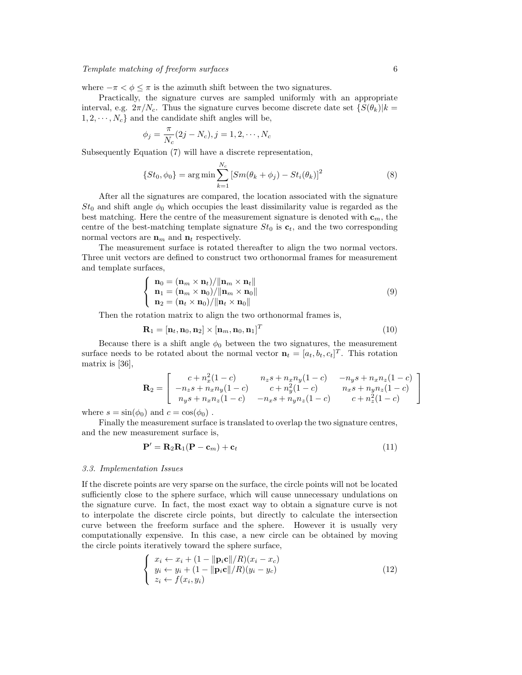where  $-\pi < \phi < \pi$  is the azimuth shift between the two signatures.

Practically, the signature curves are sampled uniformly with an appropriate interval, e.g.  $2\pi/N_c$ . Thus the signature curves become discrete date set  $\{S(\theta_k)|k=$  $1, 2, \dots, N_c$  and the candidate shift angles will be,

$$
\phi_j = \frac{\pi}{N_c}(2j - N_c), j = 1, 2, \cdots, N_c
$$

Subsequently Equation (7) will have a discrete representation,

$$
\{St_0, \phi_0\} = \arg\min \sum_{k=1}^{N_c} \left[ Sm(\theta_k + \phi_j) - St_i(\theta_k)\right]^2 \tag{8}
$$

After all the signatures are compared, the location associated with the signature  $St_0$  and shift angle  $\phi_0$  which occupies the least dissimilarity value is regarded as the best matching. Here the centre of the measurement signature is denoted with **c***m*, the centre of the best-matching template signature  $St_0$  is  $\mathbf{c}_t$ , and the two corresponding normal vectors are  $\mathbf{n}_m$  and  $\mathbf{n}_t$  respectively.

The measurement surface is rotated thereafter to align the two normal vectors. Three unit vectors are defined to construct two orthonormal frames for measurement and template surfaces,

$$
\begin{cases}\n\mathbf{n}_0 = (\mathbf{n}_m \times \mathbf{n}_t) / ||\mathbf{n}_m \times \mathbf{n}_t|| \\
\mathbf{n}_1 = (\mathbf{n}_m \times \mathbf{n}_0) / ||\mathbf{n}_m \times \mathbf{n}_0|| \\
\mathbf{n}_2 = (\mathbf{n}_t \times \mathbf{n}_0) / ||\mathbf{n}_t \times \mathbf{n}_0||\n\end{cases}
$$
\n(9)

Then the rotation matrix to align the two orthonormal frames is,

$$
\mathbf{R}_1 = [\mathbf{n}_t, \mathbf{n}_0, \mathbf{n}_2] \times [\mathbf{n}_m, \mathbf{n}_0, \mathbf{n}_1]^T
$$
\n(10)

Because there is a shift angle  $\phi_0$  between the two signatures, the measurement surface needs to be rotated about the normal vector  $\mathbf{n}_t = [a_t, b_t, c_t]^T$ . This rotation matrix is [36],

$$
\mathbf{R}_2 = \begin{bmatrix} c + n_x^2(1-c) & n_z s + n_x n_y(1-c) & -n_y s + n_x n_z(1-c) \\ -n_z s + n_x n_y(1-c) & c + n_y^2(1-c) & n_x s + n_y n_z(1-c) \\ n_y s + n_x n_z(1-c) & -n_x s + n_y n_z(1-c) & c + n_z^2(1-c) \end{bmatrix}
$$

where  $s = \sin(\phi_0)$  and  $c = \cos(\phi_0)$ .

Finally the measurement surface is translated to overlap the two signature centres, and the new measurement surface is,

$$
\mathbf{P}' = \mathbf{R}_2 \mathbf{R}_1 (\mathbf{P} - \mathbf{c}_m) + \mathbf{c}_t \tag{11}
$$

#### *3.3. Implementation Issues*

If the discrete points are very sparse on the surface, the circle points will not be located sufficiently close to the sphere surface, which will cause unnecessary undulations on the signature curve. In fact, the most exact way to obtain a signature curve is not to interpolate the discrete circle points, but directly to calculate the intersection curve between the freeform surface and the sphere. However it is usually very computationally expensive. In this case, a new circle can be obtained by moving the circle points iteratively toward the sphere surface,

$$
\begin{cases}\n x_i \leftarrow x_i + (1 - ||\mathbf{p}_i \mathbf{c}|| / R)(x_i - x_c) \\
 y_i \leftarrow y_i + (1 - ||\mathbf{p}_i \mathbf{c}|| / R)(y_i - y_c) \\
 z_i \leftarrow f(x_i, y_i)\n\end{cases} \n\tag{12}
$$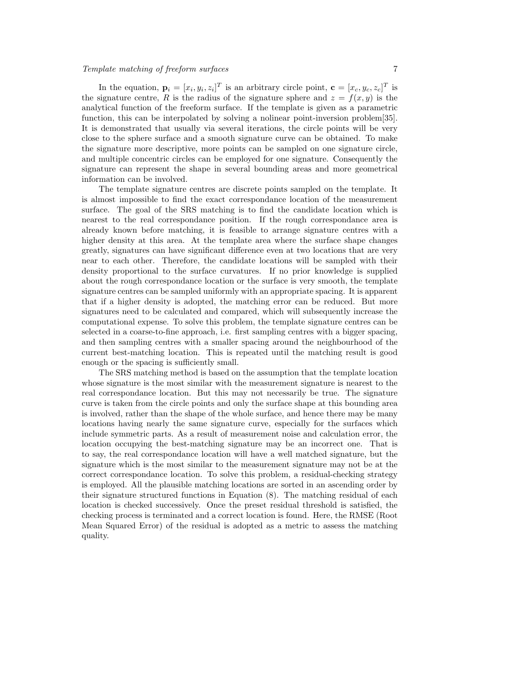In the equation,  $\mathbf{p}_i = [x_i, y_i, z_i]^T$  is an arbitrary circle point,  $\mathbf{c} = [x_c, y_c, z_c]^T$  is the signature centre, R is the radius of the signature sphere and  $z = f(x, y)$  is the analytical function of the freeform surface. If the template is given as a parametric function, this can be interpolated by solving a nolinear point-inversion problem[35]. It is demonstrated that usually via several iterations, the circle points will be very close to the sphere surface and a smooth signature curve can be obtained. To make the signature more descriptive, more points can be sampled on one signature circle, and multiple concentric circles can be employed for one signature. Consequently the signature can represent the shape in several bounding areas and more geometrical information can be involved.

The template signature centres are discrete points sampled on the template. It is almost impossible to find the exact correspondance location of the measurement surface. The goal of the SRS matching is to find the candidate location which is nearest to the real correspondance position. If the rough correspondance area is already known before matching, it is feasible to arrange signature centres with a higher density at this area. At the template area where the surface shape changes greatly, signatures can have significant difference even at two locations that are very near to each other. Therefore, the candidate locations will be sampled with their density proportional to the surface curvatures. If no prior knowledge is supplied about the rough correspondance location or the surface is very smooth, the template signature centres can be sampled uniformly with an appropriate spacing. It is apparent that if a higher density is adopted, the matching error can be reduced. But more signatures need to be calculated and compared, which will subsequently increase the computational expense. To solve this problem, the template signature centres can be selected in a coarse-to-fine approach, i.e. first sampling centres with a bigger spacing, and then sampling centres with a smaller spacing around the neighbourhood of the current best-matching location. This is repeated until the matching result is good enough or the spacing is sufficiently small.

The SRS matching method is based on the assumption that the template location whose signature is the most similar with the measurement signature is nearest to the real correspondance location. But this may not necessarily be true. The signature curve is taken from the circle points and only the surface shape at this bounding area is involved, rather than the shape of the whole surface, and hence there may be many locations having nearly the same signature curve, especially for the surfaces which include symmetric parts. As a result of measurement noise and calculation error, the location occupying the best-matching signature may be an incorrect one. That is to say, the real correspondance location will have a well matched signature, but the signature which is the most similar to the measurement signature may not be at the correct correspondance location. To solve this problem, a residual-checking strategy is employed. All the plausible matching locations are sorted in an ascending order by their signature structured functions in Equation (8). The matching residual of each location is checked successively. Once the preset residual threshold is satisfied, the checking process is terminated and a correct location is found. Here, the RMSE (Root Mean Squared Error) of the residual is adopted as a metric to assess the matching quality.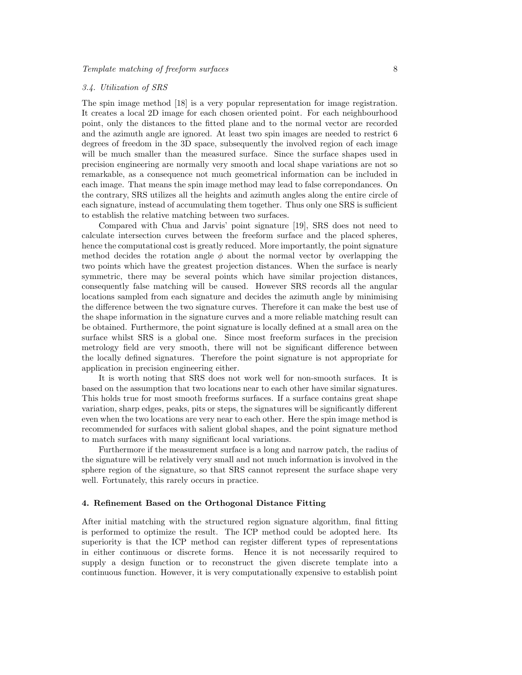#### *3.4. Utilization of SRS*

The spin image method [18] is a very popular representation for image registration. It creates a local 2D image for each chosen oriented point. For each neighbourhood point, only the distances to the fitted plane and to the normal vector are recorded and the azimuth angle are ignored. At least two spin images are needed to restrict 6 degrees of freedom in the 3D space, subsequently the involved region of each image will be much smaller than the measured surface. Since the surface shapes used in precision engineering are normally very smooth and local shape variations are not so remarkable, as a consequence not much geometrical information can be included in each image. That means the spin image method may lead to false correpondances. On the contrary, SRS utilizes all the heights and azimuth angles along the entire circle of each signature, instead of accumulating them together. Thus only one SRS is sufficient to establish the relative matching between two surfaces.

Compared with Chua and Jarvis' point signature [19], SRS does not need to calculate intersection curves between the freeform surface and the placed spheres, hence the computational cost is greatly reduced. More importantly, the point signature method decides the rotation angle  $\phi$  about the normal vector by overlapping the two points which have the greatest projection distances. When the surface is nearly symmetric, there may be several points which have similar projection distances, consequently false matching will be caused. However SRS records all the angular locations sampled from each signature and decides the azimuth angle by minimising the difference between the two signature curves. Therefore it can make the best use of the shape information in the signature curves and a more reliable matching result can be obtained. Furthermore, the point signature is locally defined at a small area on the surface whilst SRS is a global one. Since most freeform surfaces in the precision metrology field are very smooth, there will not be significant difference between the locally defined signatures. Therefore the point signature is not appropriate for application in precision engineering either.

It is worth noting that SRS does not work well for non-smooth surfaces. It is based on the assumption that two locations near to each other have similar signatures. This holds true for most smooth freeforms surfaces. If a surface contains great shape variation, sharp edges, peaks, pits or steps, the signatures will be significantly different even when the two locations are very near to each other. Here the spin image method is recommended for surfaces with salient global shapes, and the point signature method to match surfaces with many significant local variations.

Furthermore if the measurement surface is a long and narrow patch, the radius of the signature will be relatively very small and not much information is involved in the sphere region of the signature, so that SRS cannot represent the surface shape very well. Fortunately, this rarely occurs in practice.

# **4. Refinement Based on the Orthogonal Distance Fitting**

After initial matching with the structured region signature algorithm, final fitting is performed to optimize the result. The ICP method could be adopted here. Its superiority is that the ICP method can register different types of representations in either continuous or discrete forms. Hence it is not necessarily required to supply a design function or to reconstruct the given discrete template into a continuous function. However, it is very computationally expensive to establish point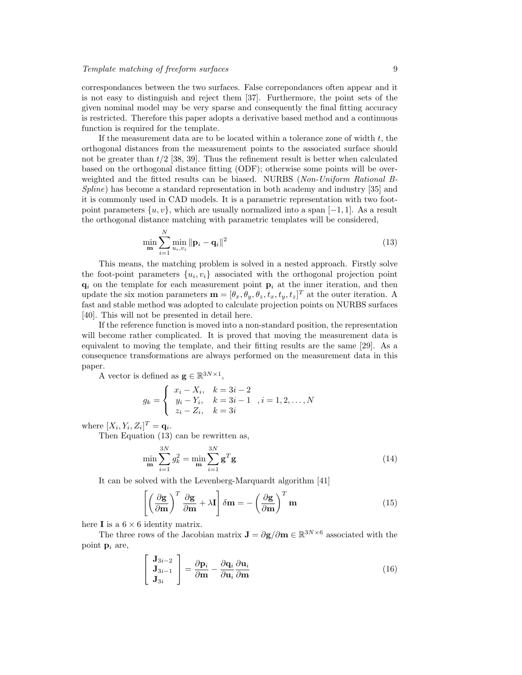correspondances between the two surfaces. False correpondances often appear and it is not easy to distinguish and reject them [37]. Furthermore, the point sets of the given nominal model may be very sparse and consequently the final fitting accuracy is restricted. Therefore this paper adopts a derivative based method and a continuous function is required for the template.

If the measurement data are to be located within a tolerance zone of width *t*, the orthogonal distances from the measurement points to the associated surface should not be greater than *t/*2 [38, 39]. Thus the refinement result is better when calculated based on the orthogonal distance fitting (ODF); otherwise some points will be overweighted and the fitted results can be biased. NURBS (*Non-Uniform Rational B-Spline*) has become a standard representation in both academy and industry [35] and it is commonly used in CAD models. It is a parametric representation with two footpoint parameters  $\{u, v\}$ , which are usually normalized into a span [ $-1$ , 1]. As a result the orthogonal distance matching with parametric templates will be considered,

$$
\min_{\mathbf{m}} \sum_{i=1}^{N} \min_{u_i, v_i} \|\mathbf{p}_i - \mathbf{q}_i\|^2
$$
\n(13)

This means, the matching problem is solved in a nested approach. Firstly solve the foot-point parameters  $\{u_i, v_i\}$  associated with the orthogonal projection point  $q_i$  on the template for each measurement point  $p_i$  at the inner iteration, and then update the six motion parameters  $\mathbf{m} = [\theta_x, \theta_y, \theta_z, t_x, t_y, t_z]^T$  at the outer iteration. A fast and stable method was adopted to calculate projection points on NURBS surfaces [40]. This will not be presented in detail here.

If the reference function is moved into a non-standard position, the representation will become rather complicated. It is proved that moving the measurement data is equivalent to moving the template, and their fitting results are the same [29]. As a consequence transformations are always performed on the measurement data in this paper.

A vector is defined as  $\mathbf{g} \in \mathbb{R}^{3N \times 1}$ ,

$$
g_k = \begin{cases} x_i - X_i, & k = 3i - 2 \\ y_i - Y_i, & k = 3i - 1 \\ z_i - Z_i, & k = 3i \end{cases}, i = 1, 2, ..., N
$$

where  $[X_i, Y_i, Z_i]^T = \mathbf{q}_i$ .

Then Equation (13) can be rewritten as,

$$
\min_{\mathbf{m}} \sum_{i=1}^{3N} g_k^2 = \min_{\mathbf{m}} \sum_{i=1}^{3N} \mathbf{g}^T \mathbf{g}
$$
\n(14)

It can be solved with the Levenberg-Marquardt algorithm [41]

$$
\left[ \left( \frac{\partial \mathbf{g}}{\partial \mathbf{m}} \right)^T \frac{\partial \mathbf{g}}{\partial \mathbf{m}} + \lambda \mathbf{I} \right] \delta \mathbf{m} = -\left( \frac{\partial \mathbf{g}}{\partial \mathbf{m}} \right)^T \mathbf{m}
$$
(15)

here **I** is a  $6 \times 6$  identity matrix.

The three rows of the Jacobian matrix  $J = \partial g / \partial m \in \mathbb{R}^{3N \times 6}$  associated with the point **p***<sup>i</sup>* are,

$$
\begin{bmatrix} \mathbf{J}_{3i-2} \\ \mathbf{J}_{3i-1} \\ \mathbf{J}_{3i} \end{bmatrix} = \frac{\partial \mathbf{p}_i}{\partial \mathbf{m}} - \frac{\partial \mathbf{q}_i}{\partial \mathbf{u}_i} \frac{\partial \mathbf{u}_i}{\partial \mathbf{m}}
$$
(16)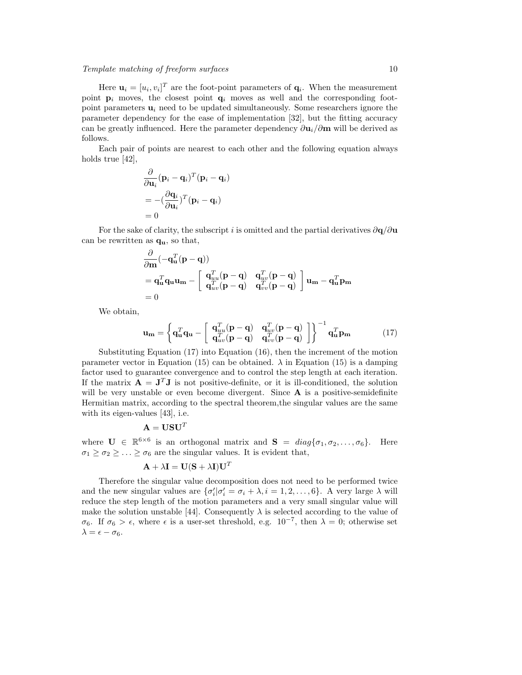Here  $\mathbf{u}_i = [u_i, v_i]^T$  are the foot-point parameters of  $\mathbf{q}_i$ . When the measurement point  $\mathbf{p}_i$  moves, the closest point  $\mathbf{q}_i$  moves as well and the corresponding footpoint parameters  $\mathbf{u}_i$  need to be updated simultaneously. Some researchers ignore the parameter dependency for the ease of implementation [32], but the fitting accuracy can be greatly influenced. Here the parameter dependency *∂***u***i/∂***m** will be derived as follows.

Each pair of points are nearest to each other and the following equation always holds true [42],

$$
\frac{\partial}{\partial \mathbf{u}_i} (\mathbf{p}_i - \mathbf{q}_i)^T (\mathbf{p}_i - \mathbf{q}_i)
$$
  
= -(\frac{\partial \mathbf{q}\_i}{\partial \mathbf{u}\_i})^T (\mathbf{p}\_i - \mathbf{q}\_i)  
= 0

For the sake of clarity, the subscript *i* is omitted and the partial derivatives *∂***q***/∂***u** can be rewritten as **qu**, so that,

$$
\frac{\partial}{\partial \mathbf{m}}(-\mathbf{q}_{\mathbf{u}}^{T}(\mathbf{p}-\mathbf{q}))
$$
\n
$$
= \mathbf{q}_{\mathbf{u}}^{T}\mathbf{q}_{\mathbf{u}}\mathbf{u}_{\mathbf{m}} - \begin{bmatrix} \mathbf{q}_{uu}^{T}(\mathbf{p}-\mathbf{q}) & \mathbf{q}_{uv}^{T}(\mathbf{p}-\mathbf{q}) \\ \mathbf{q}_{uv}^{T}(\mathbf{p}-\mathbf{q}) & \mathbf{q}_{vv}^{T}(\mathbf{p}-\mathbf{q}) \end{bmatrix} \mathbf{u}_{\mathbf{m}} - \mathbf{q}_{\mathbf{u}}^{T}\mathbf{p}_{\mathbf{m}}
$$
\n
$$
= 0
$$

We obtain,

$$
\mathbf{u}_{\mathbf{m}} = \left\{ \mathbf{q}_{\mathbf{u}}^T \mathbf{q}_{\mathbf{u}} - \begin{bmatrix} \mathbf{q}_{uu}^T (\mathbf{p} - \mathbf{q}) & \mathbf{q}_{uv}^T (\mathbf{p} - \mathbf{q}) \\ \mathbf{q}_{uv}^T (\mathbf{p} - \mathbf{q}) & \mathbf{q}_{vv}^T (\mathbf{p} - \mathbf{q}) \end{bmatrix} \right\}^{-1} \mathbf{q}_{\mathbf{u}}^T \mathbf{p}_{\mathbf{m}}
$$
(17)

Substituting Equation (17) into Equation (16), then the increment of the motion parameter vector in Equation (15) can be obtained.  $\lambda$  in Equation (15) is a damping factor used to guarantee convergence and to control the step length at each iteration. If the matrix  $\mathbf{A} = \mathbf{J}^T \mathbf{J}$  is not positive-definite, or it is ill-conditioned, the solution will be very unstable or even become divergent. Since **A** is a positive-semidefinite Hermitian matrix, according to the spectral theorem,the singular values are the same with its eigen-values [43], i.e.

$$
\mathbf{A} = \mathbf{U}\mathbf{S}\mathbf{U}^T
$$

where  $\mathbf{U} \in \mathbb{R}^{6 \times 6}$  is an orthogonal matrix and  $\mathbf{S} = diag{\lbrace \sigma_1, \sigma_2, \ldots, \sigma_6 \rbrace}$ . Here  $\sigma_1 \geq \sigma_2 \geq \ldots \geq \sigma_6$  are the singular values. It is evident that,

$$
\mathbf{A} + \lambda \mathbf{I} = \mathbf{U}(\mathbf{S} + \lambda \mathbf{I})\mathbf{U}^T
$$

Therefore the singular value decomposition does not need to be performed twice and the new singular values are  $\{\sigma'_i | \sigma'_i = \sigma_i + \lambda, i = 1, 2, \dots, 6\}$ . A very large  $\lambda$  will reduce the step length of the motion parameters and a very small singular value will make the solution unstable [44]. Consequently  $\lambda$  is selected according to the value of *σ*<sub>6</sub>. If *σ*<sub>6</sub> >  $\epsilon$ , where *∈* is a user-set threshold, e.g. 10<sup>−7</sup>, then  $\lambda = 0$ ; otherwise set  $\lambda = \epsilon - \sigma_6.$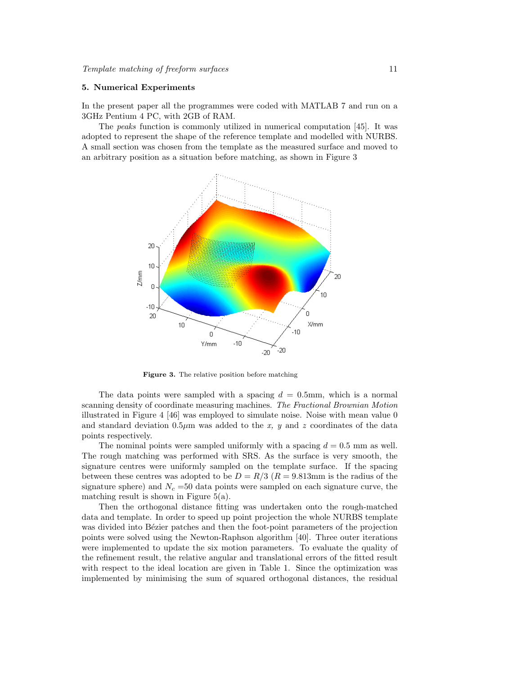#### **5. Numerical Experiments**

In the present paper all the programmes were coded with MATLAB 7 and run on a 3GHz Pentium 4 PC, with 2GB of RAM.

The *peaks* function is commonly utilized in numerical computation [45]. It was adopted to represent the shape of the reference template and modelled with NURBS. A small section was chosen from the template as the measured surface and moved to an arbitrary position as a situation before matching, as shown in Figure 3



**Figure 3.** The relative position before matching

The data points were sampled with a spacing  $d = 0.5$ mm, which is a normal scanning density of coordinate measuring machines. *The Fractional Brownian Motion* illustrated in Figure 4 [46] was employed to simulate noise. Noise with mean value 0 and standard deviation  $0.5\mu$ m was added to the *x*, *y* and *z* coordinates of the data points respectively.

The nominal points were sampled uniformly with a spacing  $d = 0.5$  mm as well. The rough matching was performed with SRS. As the surface is very smooth, the signature centres were uniformly sampled on the template surface. If the spacing between these centres was adopted to be  $D = R/3$  ( $R = 9.813$ mm is the radius of the signature sphere) and  $N_c = 50$  data points were sampled on each signature curve, the matching result is shown in Figure  $5(a)$ .

Then the orthogonal distance fitting was undertaken onto the rough-matched data and template. In order to speed up point projection the whole NURBS template was divided into Bézier patches and then the foot-point parameters of the projection points were solved using the Newton-Raphson algorithm [40]. Three outer iterations were implemented to update the six motion parameters. To evaluate the quality of the refinement result, the relative angular and translational errors of the fitted result with respect to the ideal location are given in Table 1. Since the optimization was implemented by minimising the sum of squared orthogonal distances, the residual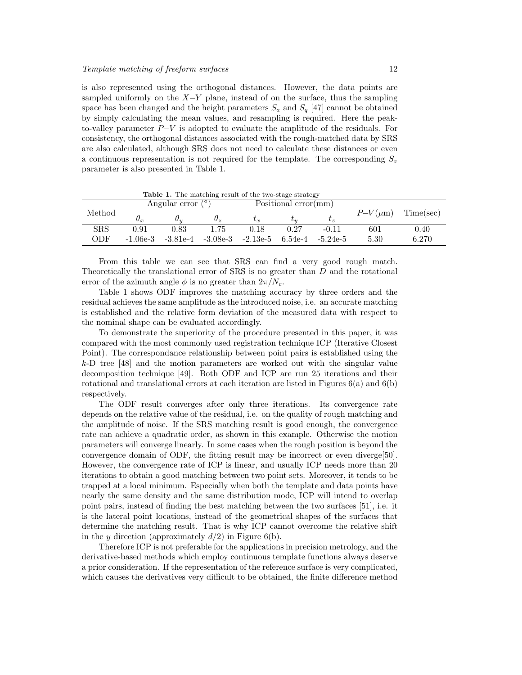is also represented using the orthogonal distances. However, the data points are sampled uniformly on the *X−Y* plane, instead of on the surface, thus the sampling space has been changed and the height parameters  $S_a$  and  $S_q$  [47] cannot be obtained by simply calculating the mean values, and resampling is required. Here the peakto-valley parameter *P−V* is adopted to evaluate the amplitude of the residuals. For consistency, the orthogonal distances associated with the rough-matched data by SRS are also calculated, although SRS does not need to calculate these distances or even a continuous representation is not required for the template. The corresponding *S<sup>z</sup>* parameter is also presented in Table 1.

| <b>Table 1.</b> The matching result of the two-stage strategy |                          |               |                   |                              |             |            |              |           |
|---------------------------------------------------------------|--------------------------|---------------|-------------------|------------------------------|-------------|------------|--------------|-----------|
| Method                                                        | Angular error $(^\circ)$ |               |                   | Positional $error(mm)$       |             |            |              |           |
|                                                               | $\theta_x$               | $\theta_{ii}$ | $\theta_{\gamma}$ | $\iota_r$                    | $\iota_{1}$ | $t_z$      | $P-V(\mu m)$ | Time(sec) |
| <b>SRS</b>                                                    | 0.91                     | 0.83          | 1.75              | 0.18                         | 0.27        | $-0.11$    | 601          | 0.40      |
| ODF                                                           | $-1.06e-3$               | $-3.81e-4$    | $-3.08e-3$        | $-2.13\mathrm{e}{\text{-}5}$ | 6.54e-4     | $-5.24e-5$ | 5.30         | 6.270     |

**Table 1.** The matching result of the two-sta

From this table we can see that SRS can find a very good rough match. Theoretically the translational error of SRS is no greater than *D* and the rotational error of the azimuth angle  $\phi$  is no greater than  $2\pi/N_c$ .

Table 1 shows ODF improves the matching accuracy by three orders and the residual achieves the same amplitude as the introduced noise, i.e. an accurate matching is established and the relative form deviation of the measured data with respect to the nominal shape can be evaluated accordingly.

To demonstrate the superiority of the procedure presented in this paper, it was compared with the most commonly used registration technique ICP (Iterative Closest Point). The correspondance relationship between point pairs is established using the *k*-D tree [48] and the motion parameters are worked out with the singular value decomposition technique [49]. Both ODF and ICP are run 25 iterations and their rotational and translational errors at each iteration are listed in Figures  $6(a)$  and  $6(b)$ respectively.

The ODF result converges after only three iterations. Its convergence rate depends on the relative value of the residual, i.e. on the quality of rough matching and the amplitude of noise. If the SRS matching result is good enough, the convergence rate can achieve a quadratic order, as shown in this example. Otherwise the motion parameters will converge linearly. In some cases when the rough position is beyond the convergence domain of ODF, the fitting result may be incorrect or even diverge[50]. However, the convergence rate of ICP is linear, and usually ICP needs more than 20 iterations to obtain a good matching between two point sets. Moreover, it tends to be trapped at a local minimum. Especially when both the template and data points have nearly the same density and the same distribution mode, ICP will intend to overlap point pairs, instead of finding the best matching between the two surfaces [51], i.e. it is the lateral point locations, instead of the geometrical shapes of the surfaces that determine the matching result. That is why ICP cannot overcome the relative shift in the *y* direction (approximately *d/*2) in Figure 6(b).

Therefore ICP is not preferable for the applications in precision metrology, and the derivative-based methods which employ continuous template functions always deserve a prior consideration. If the representation of the reference surface is very complicated, which causes the derivatives very difficult to be obtained, the finite difference method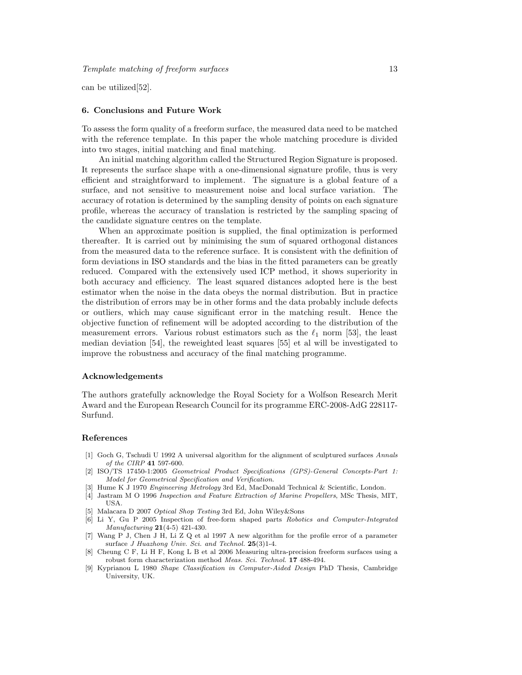can be utilized[52].

# **6. Conclusions and Future Work**

To assess the form quality of a freeform surface, the measured data need to be matched with the reference template. In this paper the whole matching procedure is divided into two stages, initial matching and final matching.

An initial matching algorithm called the Structured Region Signature is proposed. It represents the surface shape with a one-dimensional signature profile, thus is very efficient and straightforward to implement. The signature is a global feature of a surface, and not sensitive to measurement noise and local surface variation. The accuracy of rotation is determined by the sampling density of points on each signature profile, whereas the accuracy of translation is restricted by the sampling spacing of the candidate signature centres on the template.

When an approximate position is supplied, the final optimization is performed thereafter. It is carried out by minimising the sum of squared orthogonal distances from the measured data to the reference surface. It is consistent with the definition of form deviations in ISO standards and the bias in the fitted parameters can be greatly reduced. Compared with the extensively used ICP method, it shows superiority in both accuracy and efficiency. The least squared distances adopted here is the best estimator when the noise in the data obeys the normal distribution. But in practice the distribution of errors may be in other forms and the data probably include defects or outliers, which may cause significant error in the matching result. Hence the objective function of refinement will be adopted according to the distribution of the measurement errors. Various robust estimators such as the  $\ell_1$  norm [53], the least median deviation [54], the reweighted least squares [55] et al will be investigated to improve the robustness and accuracy of the final matching programme.

#### **Acknowledgements**

The authors gratefully acknowledge the Royal Society for a Wolfson Research Merit Award and the European Research Council for its programme ERC-2008-AdG 228117- Surfund.

#### **References**

- [1] Goch G, Tschudi U 1992 A universal algorithm for the alignment of sculptured surfaces *Annals of the CIRP* **41** 597-600.
- [2] ISO/TS 17450-1:2005 *Geometrical Product Specifications (GPS)-General Concepts-Part 1: Model for Geometrical Specification and Verification*.
- [3] Hume K J 1970 *Engineering Metrology* 3rd Ed, MacDonald Technical & Scientific, London.
- [4] Jastram M O 1996 *Inspection and Feature Extraction of Marine Propellers*, MSc Thesis, MIT, USA.
- [5] Malacara D 2007 *Optical Shop Testing* 3rd Ed, John Wiley&Sons
- [6] Li Y, Gu P 2005 Inspection of free-form shaped parts *Robotics and Computer-Integrated Manufacturing* **21**(4-5) 421-430.
- [7] Wang P J, Chen J H, Li Z Q et al 1997 A new algorithm for the profile error of a parameter surface *J Huazhong Univ. Sci. and Technol.* **25**(3)1-4.
- [8] Cheung C F, Li H F, Kong L B et al 2006 Measuring ultra-precision freeform surfaces using a robust form characterization method *Meas. Sci. Technol.* **17** 488-494.
- [9] Kyprianou L 1980 *Shape Classification in Computer-Aided Design* PhD Thesis, Cambridge University, UK.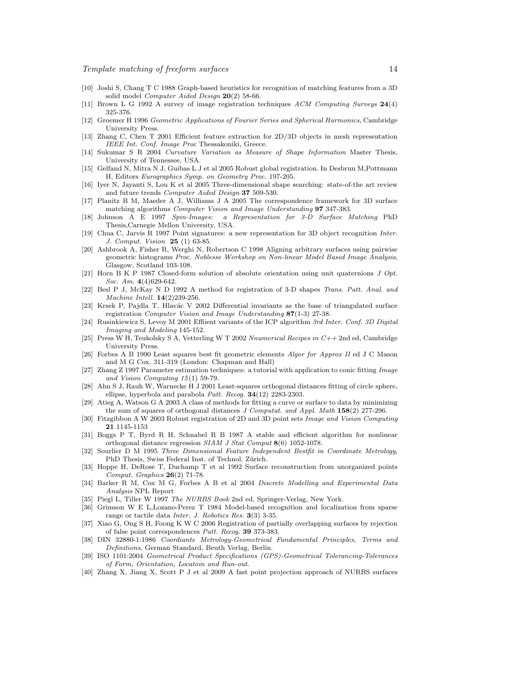- [10] Joshi S, Chang T C 1988 Graph-based heuristics for recognition of matching features from a 3D solid model *Computer Aided Design* **20**(2) 58-66.
- [11] Brown L G 1992 A survey of image registration techniques *ACM Computing Surveys* **24**(4) 325-376.
- [12] Groemer H 1996 *Geometric Applications of Fourier Series and Spherical Harmonics*, Cambridge University Press.
- [13] Zhang C, Chen T 2001 Efficient feature extraction for 2D/3D objects in mesh representation *IEEE Int. Conf. Image Proc* Thessakoniki, Greece.
- [14] Sukumar S R 2004 *Curvature Variation as Measure of Shape Information* Master Thesis, University of Tennessee, USA.
- [15] Gelfand N, Mitra N J, Guibas L J et al 2005 Robust global registration. In Desbrun M,Pottmann H, Editors *Eurographics Symp. on Geometry Proc.* 197-205.
- [16] Iyer N, Jayanti S, Lou K et al 2005 Three-dimensional shape searching: state-of-the art review and future trends *Computer Aided Design* **37** 509-530.
- [17] Planitz B M, Maeder A J, Williams J A 2005 The correspondence framework for 3D surface matching algorithms *Computer Vision and Image Understanding* **97** 347-383.
- [18] Johnson A E 1997 *Spin-Images: a Representation for 3-D Surface Matching* PhD Thesis,Carnegie Mellon University, USA.
- [19] Chua C, Jarvis R 1997 Point signatures: a new representation for 3D object recognition *Inter. J. Comput. Vision* **25** (1) 63-85.
- [20] Ashbrook A, Fisher R, Werghi N, Robertson C 1998 Aligning arbitrary surfaces using pairwise geometric histograms *Proc. Noblesse Workshop on Non-linear Model Based Image Analysis*, Glasgow, Scotland 103-108.
- [21] Horn B K P 1987 Closed-form solution of absolute orientation using unit quaternions *J Opt. Soc. Am.* **4**(4)629-642.
- [22] Besl P J, McKay N D 1992 A method for registration of 3-D shapes *Trans. Patt. Anal. and Machine Intell.* **14**(2)239-256.
- [23] Krsek P, Pajdla T, Hlavác V 2002 Differential invariants as the base of triangulated surface registration *Computer Vision and Image Understanding* **87**(1-3) 27-38.
- [24] Rusinkiewicz S, Levoy M 2001 Effiient variants of the ICP algorithm *3rd Inter. Conf. 3D Digital Imaging and Modeling* 145-152.
- [25] Press W H, Teukolsky S A, Vetterling W T 2002 *Nnumerical Recipes in C++* 2nd ed, Cambridge University Press.
- [26] Forbes A B 1990 Least squares best fit geometric elements *Algor for Approx II* ed J C Mason and M G Cox. 311-319 (London: Chapman and Hall)
- [27] Zhang Z 1997 Parameter estimation techniques: a tutorial with application to conic fitting *Image and Vision Computing 15*(1) 59-79.
- [28] Ahn S J, Rauh W, Warnecke H J 2001 Least-squares orthogonal distances fitting of circle sphere, ellipse, hyperbola and parabola *Patt. Recog.* **34**(12) 2283-2303.
- [29] Atieg A, Watson G A 2003 A class of methods for fitting a curve or surface to data by minimizing the sum of squares of orthogonal distances *J Computat. and Appl. Math* **158**(2) 277-296.
- [30] Fitzgibbon A W 2003 Robust registration of 2D and 3D point sets *Image and Vision Computing* **21** 1145-1153
- [31] Boggs P T, Byrd R H, Schnabel R B 1987 A stable and efficient algorithm for nonlinear orthogonal distance regression *SIAM J Stat Comput* **8**(6) 1052-1078.
- [32] Sourlier D M 1995 *Three Dimensional Feature Independent Bestfit in Coordinate Metrology*, PhD Thesis, Swiss Federal Inst. of Technol. Zürich.
- [33] Hoppe H, DeRose T, Duchamp T et al 1992 Surface reconstruction from unorganized points *Comput. Graphics* **26**(2) 71-78.
- [34] Barker R M, Cox M G, Forbes A B et al 2004 *Discrete Modelling and Experimental Data Analysis* NPL Report
- [35] Piegl L, Tiller W 1997 *The NURBS Book* 2nd ed, Springer-Verlag, New York.
- [36] Grimson W E L,Lozano-Perez T 1984 Model-based recognition and localization from sparse range or tactile data *Inter. J. Robotics Res.* **3**(3) 3-35.
- [37] Xiao G, Ong S H, Foong K W C 2006 Registration of partially overlapping surfaces by rejection of false point correspondences *Patt. Recog.* **39** 373-383.
- [38] DIN 32880-1:1986 *Coordiante Metrology-Geometrical Fundamental Principles, Terms and Definitions*, German Standard, Beuth Verlag, Berlin.
- [39] ISO 1101:2004 *Geometrical Product Specifications (GPS)-Geometrical Tolerancing-Tolerances of Form, Orientation, Locatoin and Run-out*.
- [40] Zhang X, Jiang X, Scott P J et al 2009 A fast point projection approach of NURBS surfaces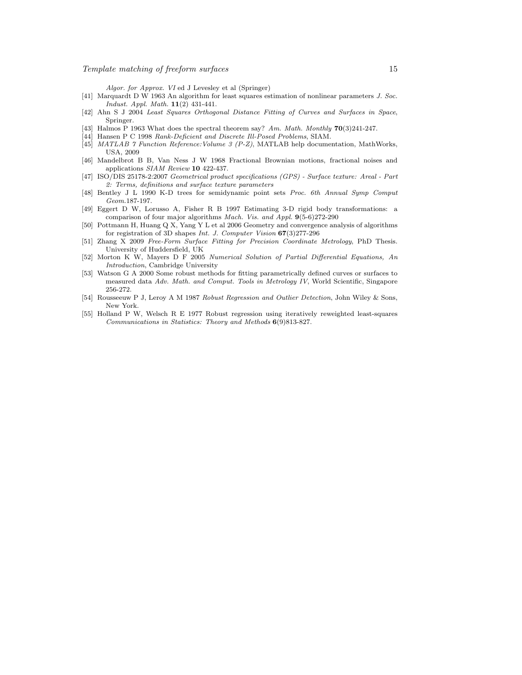*Algor. for Approx. VI* ed J Levesley et al (Springer)

- [41] Marquardt D W 1963 An algorithm for least squares estimation of nonlinear parameters *J. Soc. Indust. Appl. Math.* **11**(2) 431-441.
- [42] Ahn S J 2004 *Least Squares Orthogonal Distance Fitting of Curves and Surfaces in Space*, Springer.
- [43] Halmos P 1963 What does the spectral theorem say? *Am. Math. Monthly* **70**(3)241-247.
- [44] Hansen P C 1998 *Rank-Deficient and Discrete Ill-Posed Problems*, SIAM.
- [45] *MATLAB 7 Function Reference:Volume 3 (P-Z)*, MATLAB help documentation, MathWorks, USA, 2009
- [46] Mandelbrot B B, Van Ness J W 1968 Fractional Brownian motions, fractional noises and applications *SIAM Review* **10** 422-437.
- [47] ISO/DIS 25178-2:2007 *Geometrical product specifications (GPS) Surface texture: Areal Part 2: Terms, definitions and surface texture parameters*
- [48] Bentley J L 1990 K-D trees for semidynamic point sets *Proc. 6th Annual Symp Comput Geom.*187-197.
- [49] Eggert D W, Lorusso A, Fisher R B 1997 Estimating 3-D rigid body transformations: a comparison of four major algorithms *Mach. Vis. and Appl.* **9**(5-6)272-290
- [50] Pottmann H, Huang Q X, Yang Y L et al 2006 Geometry and convergence analysis of algorithms for registration of 3D shapes *Int. J. Computer Vision* **67**(3)277-296
- [51] Zhang X 2009 *Free-Form Surface Fitting for Precision Coordinate Metrology*, PhD Thesis. University of Huddersfield, UK
- [52] Morton K W, Mayers D F 2005 *Numerical Solution of Partial Differential Equations, An Introduction*, Cambridge University
- [53] Watson G A 2000 Some robust methods for fitting parametrically defined curves or surfaces to measured data *Adv. Math. and Comput. Tools in Metrology IV*, World Scientific, Singapore 256-272.
- [54] Rousseeuw P J, Leroy A M 1987 *Robust Regression and Outlier Detection*, John Wiley & Sons, New York.
- [55] Holland P W, Welsch R E 1977 Robust regression using iteratively reweighted least-squares *Communications in Statistics: Theory and Methods* **6**(9)813-827.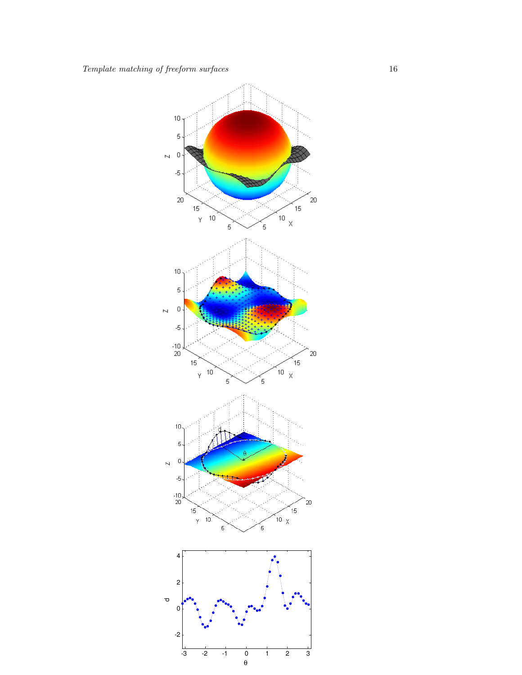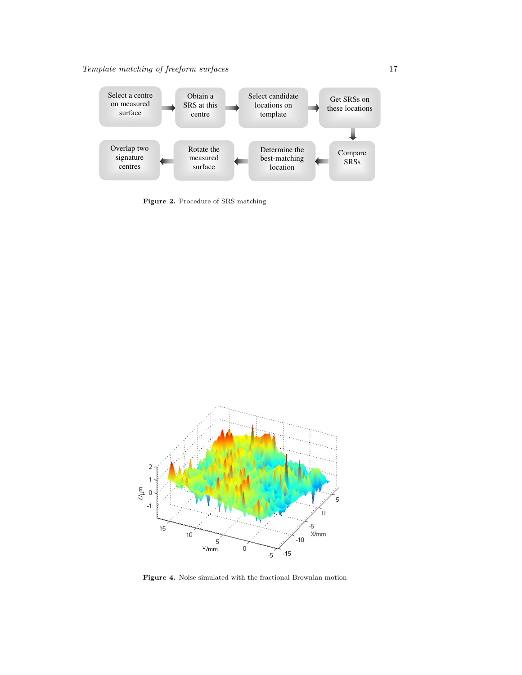

**Figure 2.** Procedure of SRS matching



**Figure 4.** Noise simulated with the fractional Brownian motion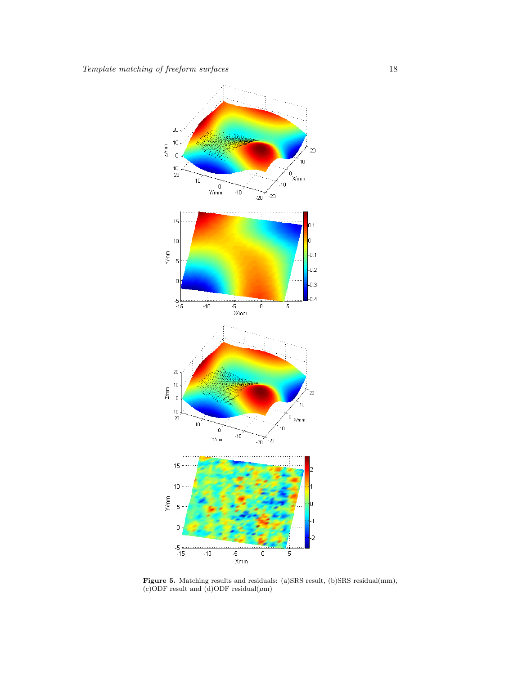

**Figure 5.** Matching results and residuals: (a)SRS result, (b)SRS residual(mm), (c)ODF result and (d)ODF residual(*µ*m)